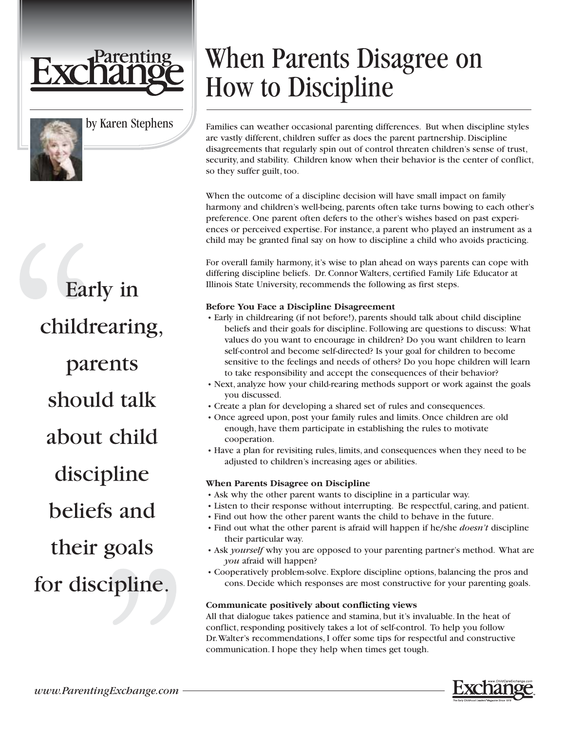



by Karen Stephens

## When Parents Disagree on How to Discipline

Families can weather occasional parenting differences. But when discipline styles are vastly different, children suffer as does the parent partnership. Discipline disagreements that regularly spin out of control threaten children's sense of trust, security, and stability. Children know when their behavior is the center of conflict, so they suffer guilt, too.

When the outcome of a discipline decision will have small impact on family harmony and children's well-being, parents often take turns bowing to each other's preference. One parent often defers to the other's wishes based on past experiences or perceived expertise. For instance, a parent who played an instrument as a child may be granted final say on how to discipline a child who avoids practicing.

For overall family harmony, it's wise to plan ahead on ways parents can cope with differing discipline beliefs. Dr. Connor Walters, certified Family Life Educator at Illinois State University, recommends the following as first steps.

## **Before You Face a Discipline Disagreement**

- Early in childrearing (if not before!), parents should talk about child discipline beliefs and their goals for discipline. Following are questions to discuss: What values do you want to encourage in children? Do you want children to learn self-control and become self-directed? Is your goal for children to become sensitive to the feelings and needs of others? Do you hope children will learn to take responsibility and accept the consequences of their behavior?
- Next, analyze how your child-rearing methods support or work against the goals you discussed.
- Create a plan for developing a shared set of rules and consequences.
- Once agreed upon, post your family rules and limits. Once children are old enough, have them participate in establishing the rules to motivate cooperation.
- Have a plan for revisiting rules, limits, and consequences when they need to be adjusted to children's increasing ages or abilities.

## **When Parents Disagree on Discipline**

- Ask why the other parent wants to discipline in a particular way.
- Listen to their response without interrupting. Be respectful, caring, and patient.
- Find out how the other parent wants the child to behave in the future.
- Find out what the other parent is afraid will happen if he/she *doesn't* discipline their particular way.
- Ask *yourself* why you are opposed to your parenting partner's method. What are *you* afraid will happen?
- Cooperatively problem-solve. Explore discipline options, balancing the pros and cons. Decide which responses are most constructive for your parenting goals.

## **Communicate positively about conflicting views**

All that dialogue takes patience and stamina, but it's invaluable. In the heat of conflict, responding positively takes a lot of self-control. To help you follow Dr.Walter's recommendations, I offer some tips for respectful and constructive communication. I hope they help when times get tough.



Early in childrearing, parents should talk about child discipline beliefs and their goals

for discipline.